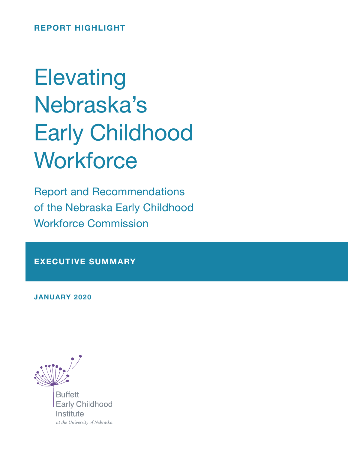REPORT HIGHLIGHT

# **Elevating** Nebraska's Early Childhood **Workforce**

Report and Recommendations of the Nebraska Early Childhood Workforce Commission

EXECUTIVE SUMMARY

JANUARY 2020



**Buffett Early Childhood** Institute at the University of Nebraska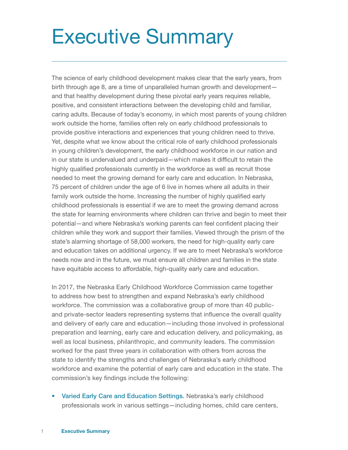## Executive Summary

The science of early childhood development makes clear that the early years, from birth through age 8, are a time of unparalleled human growth and development and that healthy development during these pivotal early years requires reliable, positive, and consistent interactions between the developing child and familiar, caring adults. Because of today's economy, in which most parents of young children work outside the home, families often rely on early childhood professionals to provide positive interactions and experiences that young children need to thrive. Yet, despite what we know about the critical role of early childhood professionals in young children's development, the early childhood workforce in our nation and in our state is undervalued and underpaid—which makes it difficult to retain the highly qualified professionals currently in the workforce as well as recruit those needed to meet the growing demand for early care and education. In Nebraska, 75 percent of children under the age of 6 live in homes where all adults in their family work outside the home. Increasing the number of highly qualified early childhood professionals is essential if we are to meet the growing demand across the state for learning environments where children can thrive and begin to meet their potential—and where Nebraska's working parents can feel confident placing their children while they work and support their families. Viewed through the prism of the state's alarming shortage of 58,000 workers, the need for high-quality early care and education takes on additional urgency. If we are to meet Nebraska's workforce needs now and in the future, we must ensure all children and families in the state have equitable access to affordable, high-quality early care and education.

In 2017, the Nebraska Early Childhood Workforce Commission came together to address how best to strengthen and expand Nebraska's early childhood workforce. The commission was a collaborative group of more than 40 publicand private-sector leaders representing systems that influence the overall quality and delivery of early care and education—including those involved in professional preparation and learning, early care and education delivery, and policymaking, as well as local business, philanthropic, and community leaders. The commission worked for the past three years in collaboration with others from across the state to identify the strengths and challenges of Nebraska's early childhood workforce and examine the potential of early care and education in the state. The commission's key findings include the following:

• Varied Early Care and Education Settings. Nebraska's early childhood professionals work in various settings—including homes, child care centers,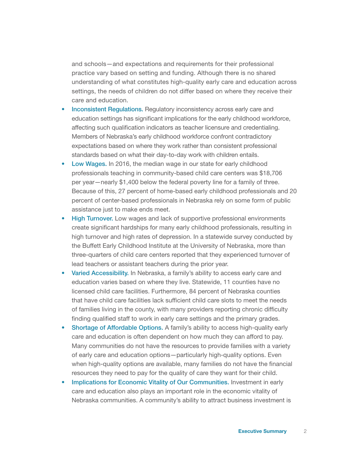and schools—and expectations and requirements for their professional practice vary based on setting and funding. Although there is no shared understanding of what constitutes high-quality early care and education across settings, the needs of children do not differ based on where they receive their care and education.

- Inconsistent Regulations. Regulatory inconsistency across early care and education settings has significant implications for the early childhood workforce, affecting such qualification indicators as teacher licensure and credentialing. Members of Nebraska's early childhood workforce confront contradictory expectations based on where they work rather than consistent professional standards based on what their day-to-day work with children entails.
- Low Wages. In 2016, the median wage in our state for early childhood professionals teaching in community-based child care centers was \$18,706 per year—nearly \$1,400 below the federal poverty line for a family of three. Because of this, 27 percent of home-based early childhood professionals and 20 percent of center-based professionals in Nebraska rely on some form of public assistance just to make ends meet.
- High Turnover. Low wages and lack of supportive professional environments create significant hardships for many early childhood professionals, resulting in high turnover and high rates of depression. In a statewide survey conducted by the Buffett Early Childhood Institute at the University of Nebraska, more than three-quarters of child care centers reported that they experienced turnover of lead teachers or assistant teachers during the prior year.
- Varied Accessibility. In Nebraska, a family's ability to access early care and education varies based on where they live. Statewide, 11 counties have no licensed child care facilities. Furthermore, 84 percent of Nebraska counties that have child care facilities lack sufficient child care slots to meet the needs of families living in the county, with many providers reporting chronic difficulty finding qualified staff to work in early care settings and the primary grades.
- Shortage of Affordable Options. A family's ability to access high-quality early care and education is often dependent on how much they can afford to pay. Many communities do not have the resources to provide families with a variety of early care and education options—particularly high-quality options. Even when high-quality options are available, many families do not have the financial resources they need to pay for the quality of care they want for their child.
- Implications for Economic Vitality of Our Communities. Investment in early care and education also plays an important role in the economic vitality of Nebraska communities. A community's ability to attract business investment is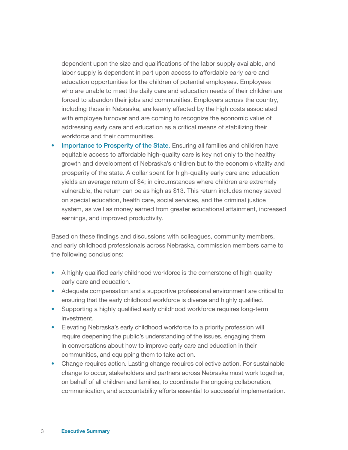dependent upon the size and qualifications of the labor supply available, and labor supply is dependent in part upon access to affordable early care and education opportunities for the children of potential employees. Employees who are unable to meet the daily care and education needs of their children are forced to abandon their jobs and communities. Employers across the country, including those in Nebraska, are keenly affected by the high costs associated with employee turnover and are coming to recognize the economic value of addressing early care and education as a critical means of stabilizing their workforce and their communities.

• Importance to Prosperity of the State. Ensuring all families and children have equitable access to affordable high-quality care is key not only to the healthy growth and development of Nebraska's children but to the economic vitality and prosperity of the state. A dollar spent for high-quality early care and education yields an average return of \$4; in circumstances where children are extremely vulnerable, the return can be as high as \$13. This return includes money saved on special education, health care, social services, and the criminal justice system, as well as money earned from greater educational attainment, increased earnings, and improved productivity.

Based on these findings and discussions with colleagues, community members, and early childhood professionals across Nebraska, commission members came to the following conclusions:

- A highly qualified early childhood workforce is the cornerstone of high-quality early care and education.
- Adequate compensation and a supportive professional environment are critical to ensuring that the early childhood workforce is diverse and highly qualified.
- Supporting a highly qualified early childhood workforce requires long-term investment.
- Elevating Nebraska's early childhood workforce to a priority profession will require deepening the public's understanding of the issues, engaging them in conversations about how to improve early care and education in their communities, and equipping them to take action.
- Change requires action. Lasting change requires collective action. For sustainable change to occur, stakeholders and partners across Nebraska must work together, on behalf of all children and families, to coordinate the ongoing collaboration, communication, and accountability efforts essential to successful implementation.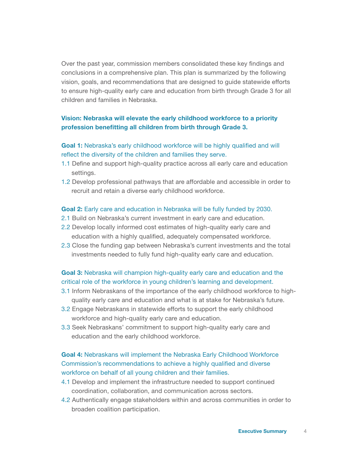Over the past year, commission members consolidated these key findings and conclusions in a comprehensive plan. This plan is summarized by the following vision, goals, and recommendations that are designed to guide statewide efforts to ensure high-quality early care and education from birth through Grade 3 for all children and families in Nebraska.

#### Vision: Nebraska will elevate the early childhood workforce to a priority profession benefitting all children from birth through Grade 3.

#### Goal 1: Nebraska's early childhood workforce will be highly qualified and will reflect the diversity of the children and families they serve.

- 1.1 Define and support high-quality practice across all early care and education settings.
- 1.2 Develop professional pathways that are affordable and accessible in order to recruit and retain a diverse early childhood workforce.

#### Goal 2: Early care and education in Nebraska will be fully funded by 2030.

- 2.1 Build on Nebraska's current investment in early care and education.
- 2.2 Develop locally informed cost estimates of high-quality early care and education with a highly qualified, adequately compensated workforce.
- 2.3 Close the funding gap between Nebraska's current investments and the total investments needed to fully fund high-quality early care and education.

#### Goal 3: Nebraska will champion high-quality early care and education and the critical role of the workforce in young children's learning and development.

- 3.1 Inform Nebraskans of the importance of the early childhood workforce to highquality early care and education and what is at stake for Nebraska's future.
- 3.2 Engage Nebraskans in statewide efforts to support the early childhood workforce and high-quality early care and education.
- 3.3 Seek Nebraskans' commitment to support high-quality early care and education and the early childhood workforce.

#### Goal 4: Nebraskans will implement the Nebraska Early Childhood Workforce Commission's recommendations to achieve a highly qualified and diverse workforce on behalf of all young children and their families.

- 4.1 Develop and implement the infrastructure needed to support continued coordination, collaboration, and communication across sectors.
- 4.2 Authentically engage stakeholders within and across communities in order to broaden coalition participation.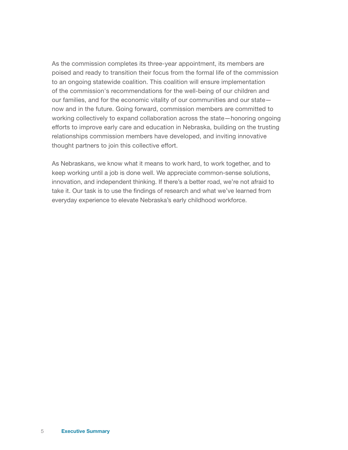As the commission completes its three-year appointment, its members are poised and ready to transition their focus from the formal life of the commission to an ongoing statewide coalition. This coalition will ensure implementation of the commission's recommendations for the well-being of our children and our families, and for the economic vitality of our communities and our state now and in the future. Going forward, commission members are committed to working collectively to expand collaboration across the state—honoring ongoing efforts to improve early care and education in Nebraska, building on the trusting relationships commission members have developed, and inviting innovative thought partners to join this collective effort.

As Nebraskans, we know what it means to work hard, to work together, and to keep working until a job is done well. We appreciate common-sense solutions, innovation, and independent thinking. If there's a better road, we're not afraid to take it. Our task is to use the findings of research and what we've learned from everyday experience to elevate Nebraska's early childhood workforce.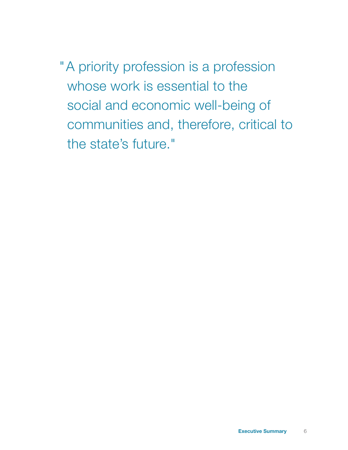"A priority profession is a profession whose work is essential to the social and economic well-being of communities and, therefore, critical to the state's future."